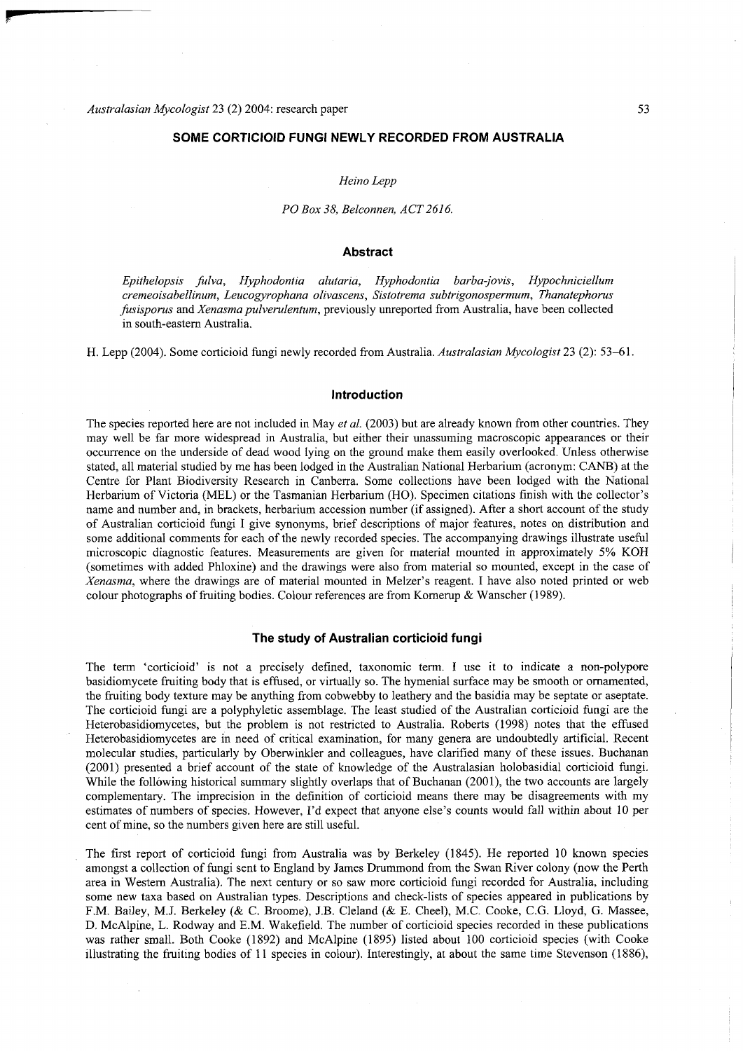# **SOME CORTICIOID FUNGI NEWLY RECORDED FROM AUSTRALIA**

### *Heino Lepp*

### *PO Box 38, Belconnen, ACT2616.*

## **Abstract**

*Epithelopsis fulva, Hyphodontia alutaria, Hyphodontia barba-jovis, Hypochniciellum cremeoisabellinum, Leucogyrophana olivascens, Sistotrema subtrigonospermum, Thanatephorus fusisporus* and *Xenasma pulverulentum,* previously unreported from Australia, have been collected in south-eastern Australia.

H. Lepp (2004). Some corticioid fungi newly recorded from Australia. *Australasian Mycologist* 23 (2): 53-61 .

### **Introduction**

The species reported here are not included in May *et al.* (2003) but are already known from other countries. They may well be far more widespread in Australia, but either their unassuming macroscopic appearances or their occurrence on the underside of dead wood lying on the ground make them easily overlooked. Unless otherwise stated, all material studied by me has been lodged in the Australian National Herbarium (acronym: CANB) at the Centre for Plant Biodiversity Research in Canberra. Some collections have been lodged with the National Herbarium of Victoria (MEL) or the Tasmanian Herbarium (HO). Specimen citations finish with the collector's name and number and, in brackets, herbarium accession number (if assigned). After a short account of the study of Australian corticioid fungi I give synonyms, brief descriptions of major features, notes on distribution and some additional comments for each of the newly recorded species. The accompanying drawings illustrate useful microscopic diagnostic features. Measurements are given for material mounted in approximately 5% KOH (sometimes with added Phloxine) and the drawings were also from material so mounted, except in the case of *Xenasma*, where the drawings are of material mounted in Melzer's reagent. I have also noted printed or web colour photographs of fruiting bodies. Colour references are from Kornerup & Wanscher (1989).

# **T he study of Australian corticioid fungi**

The term 'corticioid' is not a precisely defined, taxonomic term. I use it to indicate a non-polypore basidiomycete fruiting body that is effused, or virtually so. The hymenial surface may be smooth or ornamented, the fruiting body texture may be anything from cobwebby to leathery and the basidia may be septate or aseptate. The corticioid fungi are a polyphyletic assemblage. The least studied of the Australian corticioid fungi are the Heterobasidiomycetes, but the problem is not restricted to Australia. Roberts (1998) notes that the effused Heterobasidiomycetes are in need of critical examination, for many genera are undoubtedly artificial. Recent molecular studies, particularly by Oberwinkler and colleagues, have clarified many of these issues. Buchanan (2001) presented a brief account of the state of knowledge of the Australasian holobasidial corticioid fungi. While the following historical summary slightly overlaps that of Buchanan (2001), the two accounts are largely complementary. The imprecision in the definition of corticioid means there may be disagreements with my estimates of numbers of species. However, I'd expect that anyone else's counts would fall within about 10 per cent of mine, so the numbers given here are still useful.

The first report of corticioid fungi from Australia was by Berkeley (1845). He reported 10 known species amongst a collection of fungi sent to England by James Drummond from the Swan River colony (now the Perth area in Western Australia). The next century or so saw more corticioid fungi recorded for Australia, including some new taxa based on Australian types. Descriptions and check-lists of species appeared in publications by F.M. Bailey, M.J. Berkeley (& C. Broome), J.B. Cleland (& E. Cheel), M.C. Cooke, C.G. Lloyd, G. Massee, D. McAlpine, L. Rodway and E.M. Wakefield. The number of corticioid species recorded in these publications was rather small. Both Cooke (1892) and McAlpine (1895) listed about 100 corticioid species (with Cooke illustrating the fruiting bodies of 11 species in colour). Interestingly, at about the same time Stevenson (1886),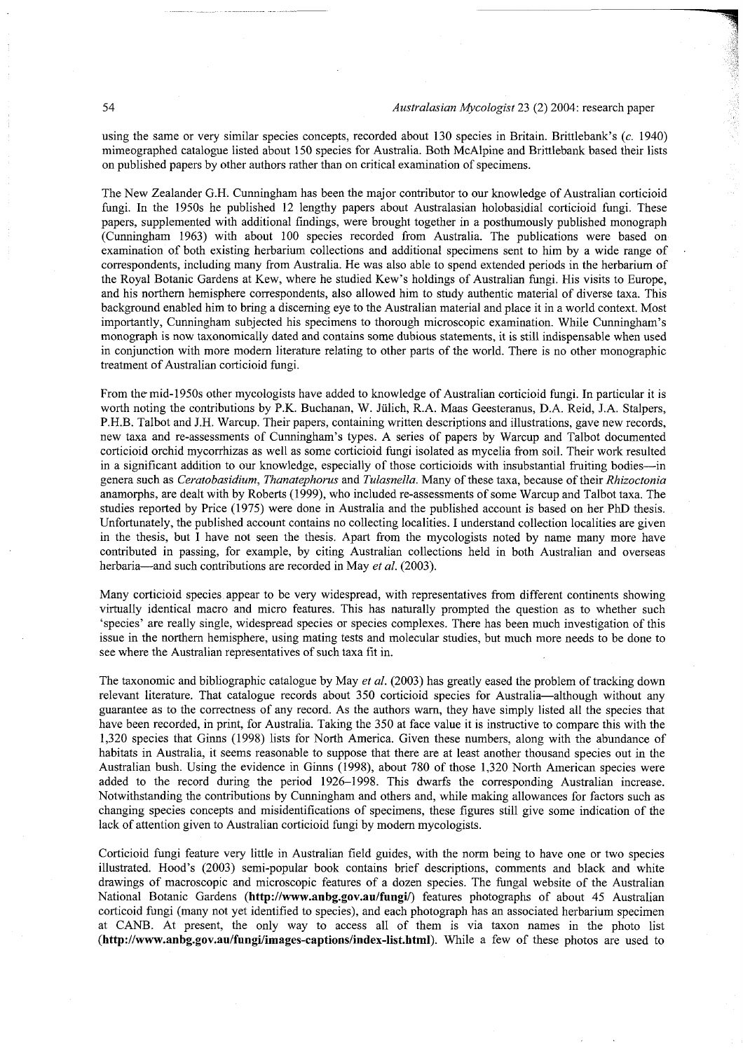using the same or very similar species concepts, recorded about 130 species in Britain. Brittlebank's (c. 1940) mimeographed catalogue listed about 150 species for Australia. Both McAlpine and Brittlebank based their lists on published papers by other authors rather than on critical examination of specimens.

The New Zealander G.H. Cunningham has been the major contributor to our knowledge of Australian corticioid fungi. In the 1950s he published 12 lengthy papers about Australasian holobasidial corticioid fungi. These papers, supplemented with additional findings, were brought together in a posthumously published monograph (Cunningham 1963) with about 100 species recorded from Australia. The publications were based on examination of both existing herbarium collections and additional specimens sent to him by a wide range of correspondents, including many from Australia. He was also able to spend extended periods in the herbarium of the Royal Botanic Gardens at Kew, where he studied Kew's holdings of Australian fungi. His visits to Europe, and his northern hemisphere correspondents, also allowed him to study authentic material of diverse taxa. This background enabled him to bring a discerning eye to the Australian material and place it in a world context. Most importantly, Cunningham subjected his specimens to thorough microscopic examination. While Cunningham's monograph is now taxonomically dated and contains some dubious statements, it is still indispensable when used in conjunction with more modern literature relating to other parts of the world. There is no other monographic treatment of Australian corticioid fungi.

From the mid-1950s other mycologists have added to knowledge of Australian corticioid fungi. In particular it is worth noting the contributions by P.K. Buchanan, W. Jülich, R.A. Maas Geesteranus, D.A. Reid, J.A. Stalpers, P.H.B. Talbot and J.H. Warcup. Their papers, containing written descriptions and illustrations, gave new records, new taxa and re-assessments of Cunningham's types. A series of papers by Warcup and Talbot documented corticioid orchid mycorrhizas as well as some corticioid fungi isolated as mycelia from soil. Their work resulted in a significant addition to our knowledge, especially of those corticioids with insubstantial fruiting bodies—in genera such as *Ceratobasidium, Thanatephorus* and *Tulasnella*. Many of these taxa, because of their *Rhizoctonia* anamorphs, are dealt with by Roberts (1999), who included re-assessments of some Warcup and Talbot taxa. The studies reported by Price (1975) were done in Australia and the published account is based on her PhD thesis. Unfortunately, the published account contains no collecting localities. I understand collection localities are given in the thesis, but I have not seen the thesis. Apart from the mycologists noted by name many more have contributed in passing, for example, by citing Australian collections held in both Australian and overseas herbaria—and such contributions are recorded in May *et al.* (2003).

Many corticioid species appear to be very widespread, with representatives from different continents showing virtually identical macro and micro features. This has naturally prompted the question as to whether such 'species' are really single, widespread species or species complexes. There has been much investigation of this issue in the northern hemisphere, using mating tests and molecular studies, but much more needs to be done to see where the Australian representatives of such taxa fit in.

The taxonomic and bibliographic catalogue by May *et al.* (2003) has greatly eased the problem of tracking down relevant literature. That catalogue records about 350 corticioid species for Australia—although without any guarantee as to the correctness of any record. As the authors warn, they have simply listed all the species that have been recorded, in print, for Australia. Taking the 350 at face value it is instructive to compare this with the 1,320 species that Ginns (1998) lists for North America. Given these numbers, along with the abundance of habitats in Australia, it seems reasonable to suppose that there are at least another thousand species out in the Australian bush. Using the evidence in Ginns (1998), about 780 of those 1,320 North American species were added to the record during the period 1926-1998. This dwarfs the corresponding Australian increase. Notwithstanding the contributions by Cunningham and others and, while making allowances for factors such as changing species concepts and misidentifications of specimens, these figures still give some indication of the lack of attention given to Australian corticioid fungi by modern mycologists.

Corticioid fungi feature very little in Australian field guides, with the norm being to have one or two species illustrated. Hood's (2003) semi-popular book contains brief descriptions, comments and black and white drawings of macroscopic and microscopic features of a dozen species. The fungal website of the Australian National Botanic Gardens ([http://www.anbg.gov.au/fungi/\)](http://www.anbg.gov.au/fungi/) features photographs of about 45 Australian corticoid fungi (many not yet identified to species), and each photograph has an associated herbarium specimen at CANB. At present, the only way to access all of them is via taxon names in the photo list **([http://www.anbg.gov.au/fungi/images-captions/index-list.html\)](http://www.anbg.gov.au/fungi/images-captions/index-list.html).** Whil e a few of these photos are used to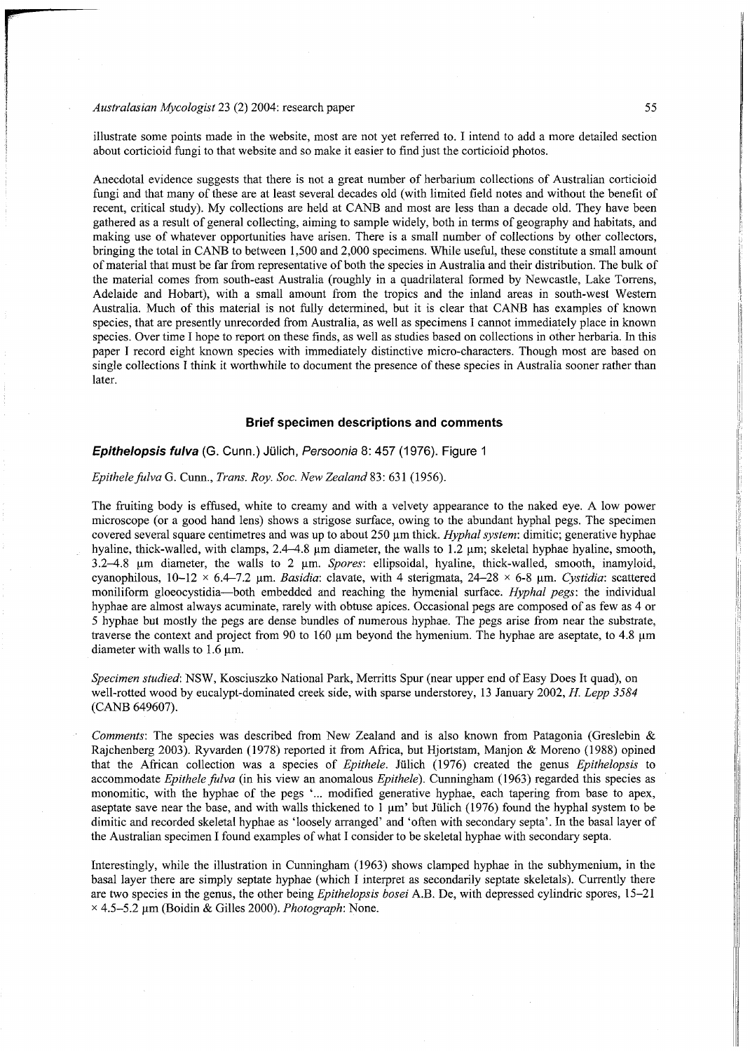illustrate some points made in the website, most are not yet referred to. I intend to add a more detailed section about corticioid fungi to that website and so make it easier to find just the corticioid photos.

Anecdotal evidence suggests that there is not a great number of herbarium collections of Australian corticioid fungi and that many of these are at least several decades old (with limited field notes and without the benefit of recent, critical study). My collections are held at CANB and most are less than a decade old. They have been gathered as a result of general collecting, aiming to sample widely, both in terms of geography and habitats, and making use of whatever opportunities have arisen. There is a small number of collections by other collectors, bringing the total in CANB to between 1,500 and 2,000 specimens. While useful, these constitute a small amount of material that must be far from representative of both the species in Australia and their distribution. The bulk of the material comes from south-east Australia (roughly in a quadrilateral formed by Newcastle, Lake Torrens, Adelaide and Hobart), with a small amount from the tropics and the inland areas in south-west Western Australia. Much of this material is not fully determined, but it is clear that CANB has examples of known species, that are presently unrecorded from Australia, as well as specimens I cannot immediately place in known species. Over time I hope to report on these finds, as well as studies based on collections in other herbaria. In this paper I record eight known species with immediately distinctive micro-characters. Though most are based on single collections I think it worthwhile to document the presence of these species in Australia sooner rather than later.

## **Brief specimen descriptions and comments**

# *Epithelopsis fulva* (G. Cunn.) Julich, *Persoonia* 8: 457 (1976). Figure 1

### *Epithele fulva* G. Cunn., *Trans. Roy. Soc. New Zealand* 83: 631 (1956).

The fruiting body is effused, white to creamy and with a velvety appearance to the naked eye. A low power microscope (or a good hand lens) shows a strigose surface, owing to the abundant hyphal pegs. The specimen covered several square centimetres and was up to about 250 µm thick. *Hyphal system*: dimitic; generative hyphae hyaline, thick-walled, with clamps,  $2.4-4.8$  µm diameter, the walls to  $1.2$  µm; skeletal hyphae hyaline, smooth, 3.2-4.8 um diameter, the walls to 2 um. *Spores:* ellipsoidal, hyaline, thick-walled, smooth, inamyloid, cyanophilous,  $10-12 \times 6.4-7.2$  µm. *Basidia*: clavate, with 4 sterigmata,  $24-28 \times 6-8$  µm. *Cystidia*: scattered moniliform gloeocystidia—both embedded and reaching the hymenia l surface. *Hyphal pegs:* the individual hyphae are almost always acuminate, rarely with obtuse apices. Occasional pegs are composed of as few as 4 or 5 hyphae but mostly the pegs are dense bundles of numerous hyphae. The pegs arise from near the substrate, traverse the context and project from 90 to  $160 \mu m$  beyond the hymenium. The hyphae are aseptate, to 4.8  $\mu$ m diameter with walls to 1.6 um.

Specimen studied: NSW, Kosciuszko National Park, Merritts Spur (near upper end of Easy Does It quad), on well-rotted wood by eucalypt-dominated creek side, with sparse understorey, 13 January 2002, *H. Lepp 3584* (CANB 649607).

*Comments:* The species was described from New Zealand and is also known from Patagonia (Greslebin & Rajchenberg 2003). Ryvarden (1978) reported it from Africa, but Hjortstam, Manjon & Moreno (1988) opined that the African collection wa s a species of *Epithele.* Julich (1976) created the genus *Epithelopsis* to accommodate *Epithele fulva* (in his view an anomalous *Epithele*). Cunningham (1963) regarded this species as monomitic, with the hyphae of the pegs '... modified generative hyphae, each tapering from base to apex, aseptate save near the base, and with walls thickened to  $1 \mu m'$  but Jülich (1976) found the hyphal system to be dimitic and recorded skeletal hyphae as 'loosely arranged' and 'often with secondary septa'. In the basal layer of the Australian specimen I found examples of what I consider to be skeletal hyphae with secondary septa.

Interestingly, while the illustration in Cunningham (1963) shows clamped hyphae in the subhymenium, in the basal layer there are simply septate hyphae (which I interpret as secondarily septate skeletals). Currently there are two species in the genus, the other being *Epithelopsis bosei* A.B. De, with depressed cylindric spores, 15–21 x 4.5-5.2 u m (Boidin & Gilles 2000). *Photograph:* None .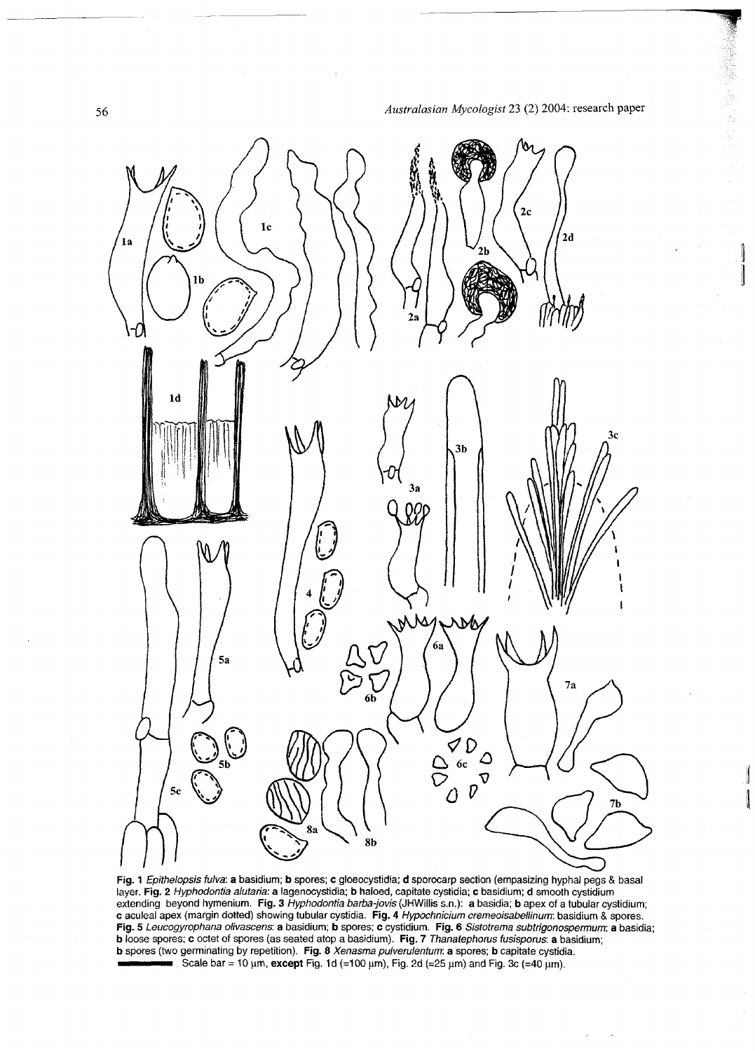$\overline{\mathbb{I}}$ 



**Fig. 1** *Epithelopsis fulva:* **a** basidium; **b** spores; **c** gloeocystidia; **d** sporocarp section (empasizing hyphal pegs & basal layer. **Fig. 2** *Hyphodontia alutaria:* **a** lagenocystidia; **b** haloed, capitate cystidia; **c** basidium; **d** smooth cystidium extending beyond hymenium. **Fig. 3** *Hyphodontia barba-jovis* (JHWillis s.n.): **a** basidia; **b** apex of a tubular eystidium; **c** aculeal apex (margin dotted) showing tubular cystidia. **Fig. 4** *Hypochnicium cremeoisabellinum:* basidium & spores. **Fig.** 5 *Leucogyrophana olivascens:* **a** basidium; **b** spores; **c** cystidium. **Fig. 6** *Sistotrema subtrigonospermum:* **a** basidia; **b** loose spores; **c** octet of spores (as seated atop a basidium). **Fig. 7** *Thanatephorus tusisporus.* **a** basidium; **b** spores (two germinating by repetition). **Fig. 8** *Xenasma pulverulentum:* **a** spores; **b** capitate cystidia. Scale bar = 10 um, except Fig. 1d (=100 um), Fig. 2d (=25 um) and Fig. 3c (=40 um).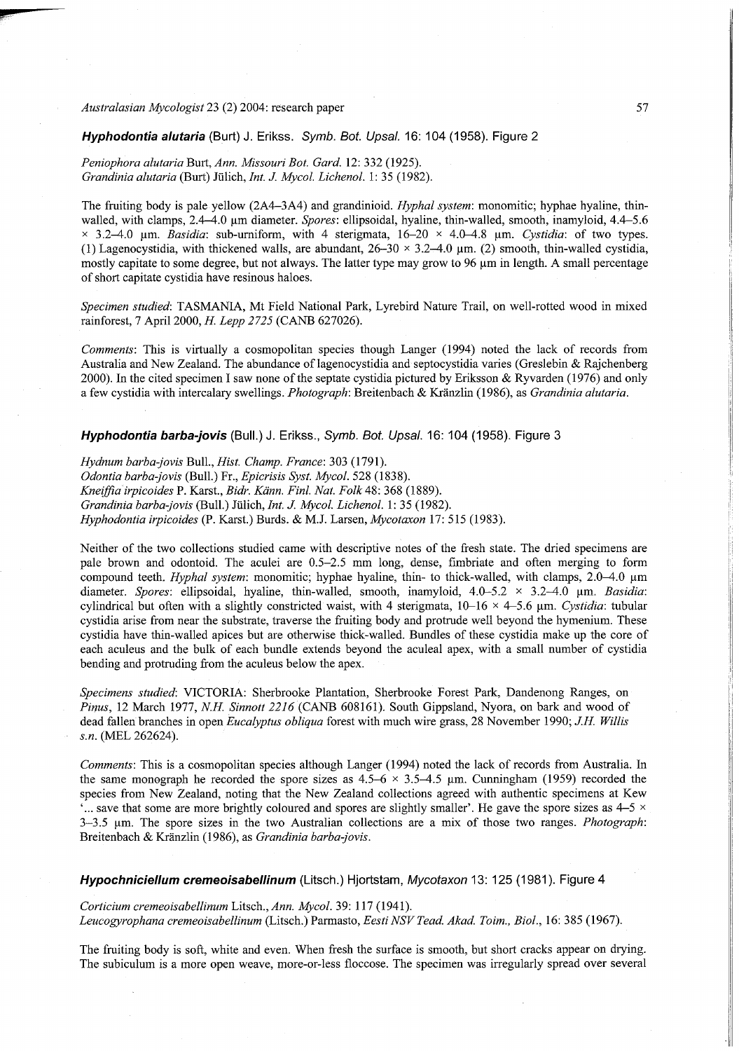Hyphodontia alutaria (Burt) J. Erikss. Symb. Bot. Upsal. 16: 104 (1958). Figure 2

*Peniophora alutaria* Burt, *Ann. Missouri Bot. Gard.* 12: 332 (1925). *Grandinia alutaria* (Burt) Julich, *Int. J. Mycol. Lichenol.* 1:35 (1982).

The fruiting body is pale yellow (2A4–3A4) and grandinioid. *Hyphal system*: monomitic; hyphae hyaline, thinwalled, with clamps, 2.4-4.0 um diameter. *Spores*: ellipsoidal, hyaline, thin-walled, smooth, inamyloid, 4.4-5.6 **x** 3.2–4.0 μm. *Basidia*: sub-urniform, with 4 sterigmata, 16–20 × 4.0–4.8 μm. Cystidia: of two types. (1) Lagenocystidia, with thickened walls, are abundant,  $26-30 \times 3.2-4.0$  µm. (2) smooth, thin-walled cystidia, mostly capitate to some degree, but not always. The latter type may grow to 96 um in length. A small percentage of short capitate cystidia have resinous haloes.

Specimen studied: TASMANIA, Mt Field National Park, Lyrebird Nature Trail, on well-rotted wood in mixed rainforest, 7 April 2000, *H. Lepp 2725* (CANB 627026).

*Comments:* This is virtually a cosmopolitan species though Langer (1994) noted the lack of records from Australia and New Zealand. The abundance of lagenocystidia and septocystidia varies (Greslebin & Rajchenberg 2000). In the cited specimen I saw none of the septate cystidia pictured by Eriksson & Ryvarden (1976) and only a few cystidia with intercalary swellings. *Photograph:* Breitenbach & Kranzlin (1986), as *Grandinia alutaria.* 

*Hyphodontia barba-jovis* (Bull.) J. Erikss., Symb. Bot. Upsal. 16: 104 (1958). Figure 3

*Hydnum barba-jovis* Bull., *Hist. Champ. France:* 303 (1791). *Odontia barba-jovis* (Bull.) Fr., *Epicrisis Syst. Mycol.* 528 (1838). *Kneiffia irpicoides* P. Karst , *Bidr. Kdnn. Finl. Nat. Folk 4%:* 368 (1889). *Grandinia barba-jovis* (Bull.) Julich, *Int. J. Mycol. Lichenol.* 1: 35 (1982). *Hyphodontia irpicoides* (P. Karst.) Burds. & M.J. Larsen, *Mycotaxon* 17: 515 (1983).

Neither of the two collections studied came with descriptive notes of the fresh state. The dried specimens are pale brown and odontoid. The aculei are  $0.5-2.5$  mm long, dense, fimbriate and often merging to form compound teeth. *Hyphal system*: monomitic; hyphae hyaline, thin- to thick-walled, with clamps, 2.0–4.0 µm diameter. *Spores:* ellipsoidal, hyaline, thin-walled, smooth, inamyloid, 4.0–5.2 × 3.2–4.0 µm. *Basidia:* cylindrical but often with a slightly constricted waist, with 4 sterigmata, 10-16 <sup>x</sup> 4-5. 6 um. *Cystidia:* tubular cystidia arise from near the substrate, traverse the fruiting body and protrude well beyond the hymenium. These cystidia have thin-walled apices but are otherwise thick-walled. Bundles of these cystidia make up the core of each aculeus and the bulk of each bundle extends beyond the aculeal apex, with a small number of cystidia bending and protruding from the aculeus below the apex.

Specimens studied: VICTORIA: Sherbrooke Plantation, Sherbrooke Forest Park, Dandenong Ranges, on *Pinus,* 12 March 1977, *N.H. Sinnott 2216* (CANB 608161). South Gippsland, Nyora, on bark and wood of dead fallen branches in open *Eucalyptus obliqua* forest with much wire grass, 28 November 1990; *J.H. Willis s.n.* (MEL 262624).

*Comments:* This is a cosmopolitan species although Langer (1994) noted the lack of records from Australia. In the same monograph he recorded the spore sizes as  $4.5-6 \times 3.5-4.5$  µm. Cunningham (1959) recorded the species from New Zealand, noting that the New Zealand collections agreed with authentic specimens at Kew  $\cdot$ ... save that some are more brightly coloured and spores are slightly smaller'. He gave the spore sizes as  $4-5 \times$ 3-3.5  $\mu$ m. The spore sizes in the two Australian collections are a mix of those two ranges. *Photograph*: Breitenbach & Kranzlin (1986), as *Grandinia barba-jovis.* 

*Hypochniciellum cremeoisabellinum* (Litsch.) Hjortstam, *Mycotaxon* 13: 125 (1981). Figure 4

*Corticium cremeoisabellinum* Litsch., *Ann. Mycol.* 39: 117 (1941). *Leucogyrophana cremeoisabellinum* (Litsch.) Parmasto, *Eesti NSV Tead. Akad. Toim., Biol.,* 16: 385 (1967).

The fruiting body is soft, white and even. When fresh the surface is smooth, but short cracks appear on drying. The subiculum is a more open weave, more-or-less floccose. The specimen was irregularly spread over several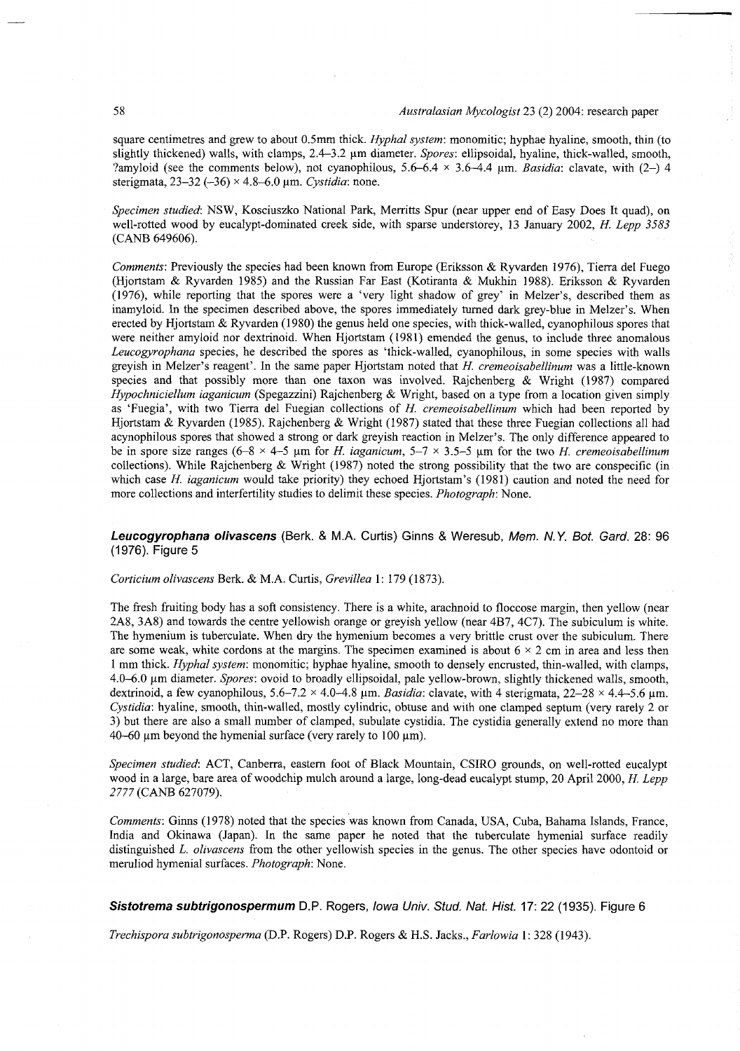square centimetres and grew to about 0.5mm thick. *Hyphal system:* monomitic; hyphae hyaline, smooth, thin (to slightly thickened) walls, with clamps, 2.4–3.2  $\mu$ m diameter. *Spores*: ellipsoidal, hyaline, thick-walled, smooth, ?amyloid (see the comments below), not cyanophilous,  $5.6-6.4 \times 3.6-4.4$  µm. *Basidia:* clavate, with (2-) 4 sterigmata, 23–32 (-36) × 4.8–6.0 µm. Cystidia: none.

Specimen studied: NSW, Kosciuszko National Park, Merritts Spur (near upper end of Easy Does It quad), on well-rotted wood by eucalypt-dominated creek side, with sparse understorey, 13 January 2002, *H. Lepp 3583*  (CANB 649606).

*Comments:* Previously the species had been known from Europe (Eriksson & Ryvarden 1976), Tierra del Fuego (Hjortstam & Ryvarden 1985) and the Russian Far East (Kotiranta & Mukhin 1988). Eriksson & Ryvarden (1976), while reporting that the spores were a 'very light shadow of grey' in Melzer's, described them as inamyloid. In the specimen described above, the spores immediately turned dark grey-blue in Melzer's. When erected by Hjortstam & Ryvarden (1980) the genus held one species, with thick-walled, cyanophilous spores that were neither amyloid nor dextrinoid. When Hjortstam (1981) emended the genus, to include three anomalous *Leucogyrophana* species, he described the spores as 'thick-walled, cyanophilous, in some species with walls greyish in Melzer's reagent'. In the same pape r Hjortstam noted that *H. cremeoisabellinum* wa s a little-known species and that possibly more than one taxon was involved. Rajchenberg & Wright (1987) compared *Hypochniciellum iaganicum* (Spegazzini) Rajchenberg & Wright, based on a type from a location given simply as 'Fuegia', with two Tierra del Fuegian collections of *H. cremeoisabellinum* which had been reported by Hjortstam & Ryvarden (1985). Rajchenberg & Wright (1987) stated that these three Fuegian collections all had acynophilous spores that showed a strong or dark greyish reaction in Melzer's. The only difference appeared to be in spore size ranges (6-8  $\times$  4-5 µm for *H. iaganicum*, 5-7  $\times$  3.5-5 µm for the two *H. cremeoisabellinum* collections). While Rajchenberg & Wright (1987) noted the strong possibility that the two are conspecific (in which case *H. iaganicum* would take priority) they echoed Hjortstam's (1981) caution and noted the need for more collections and interfertility studies to delimit these species. *Photograph:* None .

# *Leucogyrophana olivascens* (Berk. & M.A. Curtis) Ginns & Weresub, *Mem. N.Y. Bot. Gard.* 28: 96 (1976). Figure 5

*Corticium olivascens* Berk. & M.A. Curtis, *Grevillea* 1: 179 (1873).

The fresh fruiting body has a soft consistency. There is a white, arachnoid to floccose margin, then yellow (near 2A8, 3A8) and towards the centre yellowish orange or greyish yellow (near 4B7 , 4C7). The subiculum is white. The hymenium is tuberculate. When dry the hymenium becomes a very brittle crust over the subiculum. There are some weak, white cordons at the margins. The specimen examined is about  $6 \times 2$  cm in area and less then 1 mm thick. *Hyphal system*: monomitic; hyphae hyaline, smooth to densely encrusted, thin-walled, with clamps, 4.0-6.0 um diameter. *Spores:* ovoid to broadly ellipsoidal, pale yellow-brown, slightly thickened walls, smooth, dextrinoid, a few cyanophilous, 5.6-7.2 **x** 4.0-4.8 um. *Basidia:* clavate, with 4 sterigmata, 22-2 8 **x** 4.4-5.6 um. *Cystidia:* hyaline, smooth, thin-walled, mostly cylindric, obtuse and with one clamped septum (very rarely 2 or 3) but there are also a small number of clamped, subulate cystidia. The cystidia generally extend no more than 40-60  $\mu$ m beyond the hymenial surface (very rarely to 100  $\mu$ m).

*Specimen studied:* ACT, Canberra, eastern foot of Black Mountain, CSIRO grounds, on well-rotted eucalypt wood in a large, bare area of woodchip mulch around a large, long-dead eucalypt stump, 20 April 2000, *H. Lepp*  2777 (CANB 627079).

*Comments:* Ginns (1978) noted that the species was known from Canada, USA, Cuba, Bahama Islands, France, India and Okinawa (Japan). In the same paper he noted that the tuberculate hymenial surface readily distinguished *L. olivascens* from the other yellowish species in the genus. The other species have odontoid or meruliod hymenial surfaces. *Photograph*: None.

*Sistotrema subtrigonospermum* D.P. Rogers, *Iowa Univ. Stud. Nat. Hist.* 17: 22 (1935). Figure 6

*Trechispora subtrigonosperma* (D.P. Rogers) D.P. Rogers & H.S. Jacks., *Farlowia* 1: 328 (1943).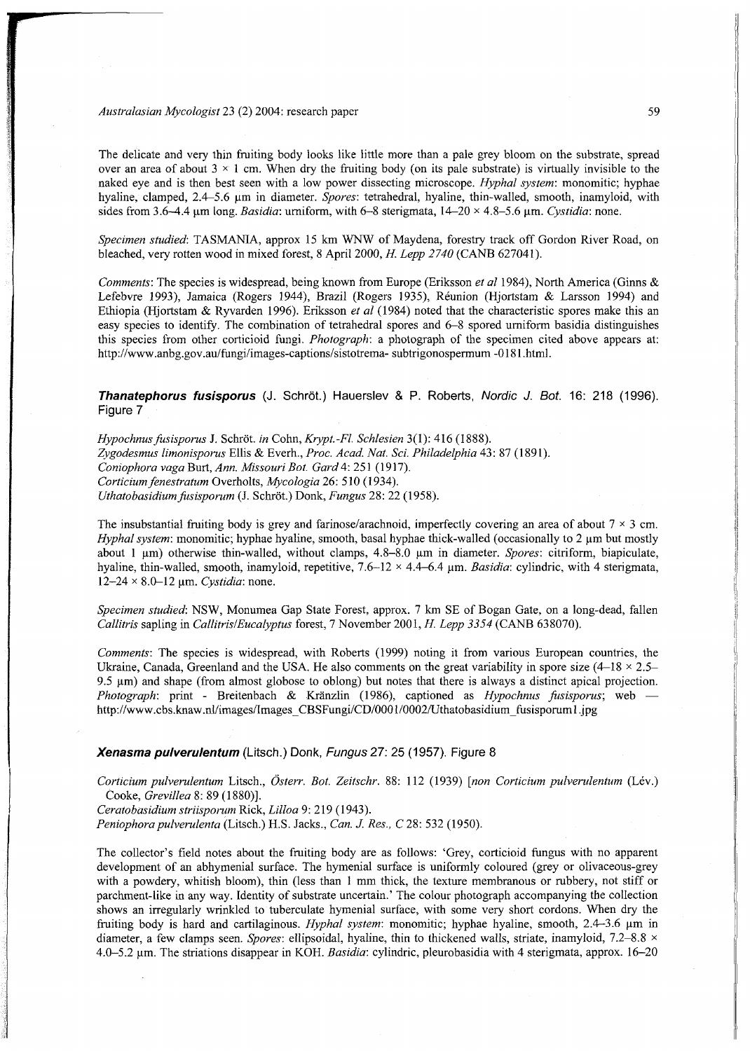### *Australasian Mycologist* 23 (2) 2004: research paper **1996 1997 1998 1998 1998 1999 1999 1999 1999 1999 1999 1999 1999 1999 1999 1999 1999 1999 1999 1999 1999 1999 1999 1999**

dia 213.<br>Ny

The delicate and very thin fruiting body looks like little more than a pale grey bloom on the substrate, spread over an area of about  $3 \times 1$  cm. When dry the fruiting body (on its pale substrate) is virtually invisible to the naked eye and is then best seen with a low power dissecting microscope. *Hyphal system:* monomitic; hyphae hyaline, clamped, 2.4-5.6 um in diameter. *Spores:* tetrahedral, hyaline, thin-walled, smooth, inamyloid, with sides from 3.6-4.4 um long. *Basidia*: urniform, with 6-8 sterigmata,  $14-20 \times 4.8-5.6$  um. *Cystidia*: none.

Specimen studied: TASMANIA, approx 15 km WNW of Maydena, forestry track off Gordon River Road, on bleached, very rotten wood in mixed forest, 8 April 2000, *H. Lepp 2740* (CANB 627041).

*Comments:* The species is widespread, being known from Europe (Eriksson et al 1984), North America (Ginns & Lefebvre 1993), Jamaica (Rogers 1944), Brazil (Rogers 1935), Reunion (Hjortstam & Larsson 1994) and Ethiopia (Hjortstam & Ryvarden 1996). Eriksson *et al* (1984) noted that the characteristic spores make this an easy species to identify. The combination of tetrahedral spores and 6-8 spored urniform basidia distinguishes this species from other corticioid fungi. *Photograph:* a photograph of the specimen cited above appears at: [http://www.anbg.gov.au/fungi/images-captions/sistotrema- s](http://www.anbg.gov.au/fungi/images-captions/sistotrema-)ubtrigonospermum -0181 .html.

*Thanatephorus fusisporus* (J. Schrot.) Hauerslev & P. Roberts, *Nordic J. Bot.* 16: 218 (1996). Figure 7

*Hypochnus fusisporus* J. Schrot. *in* Cohn, *Krypt.-Fl. Schlesien* 3(1): 416 (1888). *Zygodesmus limonisporus* Ellis & Everh., *Proc. Acad. Nat. Set Philadelphia* 43 : 87 (1891). *Coniophora vaga* Burt, Ann. Missouri Bot. Gard 4: 251 (1917). *Corticium fenestratum* Overholts, *Mycologia 26:* 510 (1934). *Uthatobasidium fusisporum* (J. Schröt.) Donk, *Fungus* 28: 22 (1958).

The insubstantial fruiting body is grey and farinose/arachnoid, imperfectly covering an area of about  $7 \times 3$  cm. *Hyphal system:* monomitic; hyphae hyaline, smooth, basal hyphae thick-walled (occasionally to 2  $\mu$ m but mostly about 1 µm) otherwise thin-walled, without clamps, 4.8-8.0 µm in diameter. *Spores*: citriform, biapiculate, hyaline, thin-walled, smooth, inamyloid, repetitive, 7.6-12 × 4.4-6.4 µm. *Basidia:* cylindric, with 4 sterigmata, 12-24 × 8.0-12 μm. *Cystidia*: none.

*Specimen studied:* NSW, Monumea Gap State Forest, approx. 7 km SE of Bogan Gate, on a long-dead, fallen *Callitris* sapling in *Callitris*/*Eucalyptus* forest, 7 November 2001, *H. Lepp 3354* (CANB 638070).

*Comments:* The species is widespread, with Roberts (1999) noting it from various European countries, the Ukraine, Canada, Greenland and the USA. He also comments on the great variability in spore size  $(4-18 \times 2.5-$ 9.5  $\mu$ m) and shape (from almost globose to oblong) but notes that there is always a distinct apical projection. *Photograph:* print - Breitenbach & Kränzlin (1986), captioned as *Hypochnus fusisporus*; web [http://www.cbs.knaw.nl/images/Images\\_CBSFungi/CD/0001/0002/Uthatobasidium\\_fusisporuml.jpg](http://www.cbs.knaw.nl/images/Images_CBSFungi/CD/0001/0002/Uthatobasidium_fusisporuml.jpg) 

#### *Xenasma pulverulentum* (Litsch.) Donk, *Fungus* 27 : 25 (1957). Figure 8

*Corticium pulverulentum* Litsch., *Osterr. Bot. Zeitschr.* 88: 112 (1939) *[non Corticium pulverulentum* (Lev.) Cooke, *Grevillea* 8: 89 (1880)].

*Ceratobasidium striisporum* Rick, *Lilloa* 9: 219 (1943).

*Peniophorapulverulenta* (Litsch.) H.S. Jacks., *Can. J. Res., C* 28: 532 (1950).

The collector's field notes about the fruiting body are as follows: 'Grey, corticioid fungus with no apparent development of an abhymenial surface. The hymenial surface is uniformly coloured (grey or olivaceous-grey with a powdery, whitish bloom), thin (less than 1 mm thick, the texture membranous or rubbery, not stiff or parchment-like in any way. Identity of substrate uncertain.' The colour photograph accompanying the collection shows an irregularly wrinkled to tuberculate hymenial surface, with some very short cordons. When dry the fruiting body is hard and cartilaginous. *Hyphal system:* monomitic; hyphae hyaline, smooth, 2.4-3.6  $\mu$ m in diameter, a few clamps seen. *Spores:* ellipsoidal, hyaline, thin to thickened walls, striate, inamyloid, 7.2-8.8 \* 4.0-5.2 um. The striations disappear in KOH. *Basidia:* cylindric, pleurobasidia with 4 sterigmata, approx. 16-2 0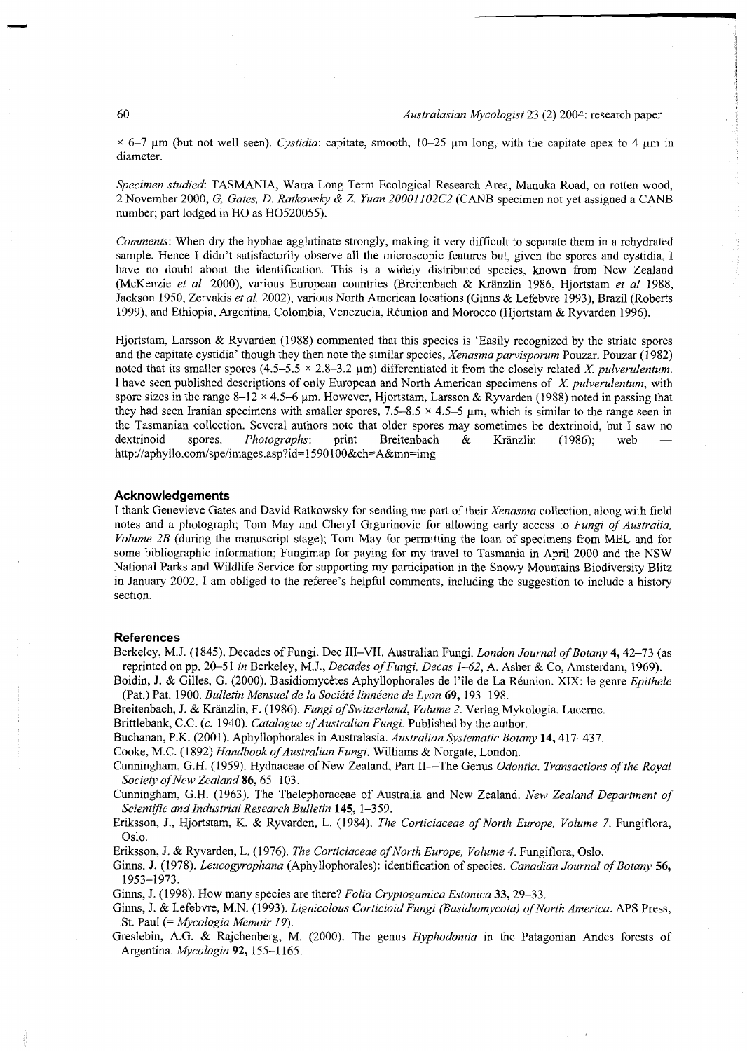$\times$  6-7  $\mu$ m (but not well seen). *Cystidia:* capitate, smooth, 10-25  $\mu$ m long, with the capitate apex to 4  $\mu$ m in diameter.

Specimen studied: TASMANIA, Warra Long Term Ecological Research Area, Manuka Road, on rotten wood, 2 November 2000, G. Gates, D. Ratkowsky & Z. Yuan 20001102C2 (CANB specimen not yet assigned a CANB number; part lodged in HO as HO520055).

*Comments:* When dry the hyphae agglutinate strongly, making it very difficult to separate them in a rehydrated sample. Hence I didn't satisfactorily observe all the microscopic features but, given the spores and cystidia, I have no doubt about the identification. This is a widely distributed species, known from New Zealand (McKenzi e *et al.* 2000), various European countries (Breitenbach & Kranzlin 1986, Hjortstam *et al* 1988, Jackson 1950, Zervakis *et al.* 2002), various North American locations (Ginns & Lefebvre 1993), Brazil (Roberts 1999), and Ethiopia, Argentina, Colombia, Venezuela , Reunion and Morocc o (Hjortstam & Ryvarden 1996).

Hjortstam, Larsson & Ryvarden (1988) commented that this species is 'Easily recognized by the striate spores and the capitate cystidia' though they then note the similar species, *Xenasma parvisporum* Pouzar. Pouzar (1982) noted that its smaller spores  $(4.5-5.5 \times 2.8-3.2 \mu m)$  differentiated it from the closely related X. *pulverulentum*. I have seen published descriptions of only European and North American specimens of *X. pulverulentum,* with spore sizes in the range 8-12  $\times$  4.5-6 µm. However, Hjortstam, Larsson & Ryvarden (1988) noted in passing that they had seen Iranian specimens with smaller spores,  $7.5 - 8.5 \times 4.5 - 5$  µm, which is similar to the range seen in the Tasmanian collection. Several authors note that older spores may sometimes be dextrinoid, but I saw no dextrinoid spores. *Photographs*: print Breitenbach & Kränzlin (1986); web <http://aphyllo.com/spe/images.asp?id=1590100&ch=A&mn=img>

#### **Acknowledgement s**

I thank Genevieve Gates and David Ratkowsky for sending me part of their *Xenasma* collection, along with field notes and a photograph; Tom May and Cheryl Grgurinovic for allowing early access to *Fungi of Australia*, *Volume 2B* (during the manuscript stage); Tom May for permitting the loan of specimens from MEL and for some bibliographic information; Fungimap for paying for my travel to Tasmania in April 2000 and the NSW National Parks and Wildlife Service for supporting my participation in the Snowy Mountains Biodiversity Blitz in January 2002. I am obliged to the referee's helpful comments, including the suggestion to include a history section.

### **References**

Berkeley, M.J. (1845). Decades of Fungi. Dec III–VII. Australian Fungi. *London Journal of Botany* 4, 42–73 (as reprinted on pp. 20-51 in Berkeley, M.J., *Decades of Fungi, Decas 1-62*, A. Asher & Co, Amsterdam, 1969).

Boidin, J. & Gilles, G. (2000). Basidiomycètes Aphyllophorales de l'île de La Réunion. XIX: le genre *Epithele* (Pat.) Pat. 1900. *Bulletin Mensuelde la Societe linneene deLyon* **69,** 193-198 .

Breitenbach, J. & Kränzlin, F. (1986). *Fungi of Switzerland, Volume 2*. Verlag Mykologia, Lucerne.

Brittlebank, C.C. (c. 1940). *Catalogue of Australian Fungi.* Published by the author.

Buchanan, P.K. (2001). Aphyllophorales in Australasia. *Australian Systematic Botany* **14,** 417-437 .

Cooke, M.C. (1892) Handbook of Australian Fungi. Williams & Norgate, London.

Cunningham, G.H. (1959). Hydnaceae of New Zealand, Part II--The Genus Odontia. Transactions of the Royal *Society of New Zealand* **86,** 65-103 .

Cunningham, G.H. (1963). The Thelephoraceae of Australia and New Zealand. New Zealand Department of *Scientific and Industrial Research Bulletin* **145,** 1-359.

Eriksson, J., Hjortstam, K. & Ryvarden, L. (1984). *The Corticiaceae of North Europe, Volume 7.* Fungiflora, Oslo.

Eriksson, J. & Ryvarden, L. (1976). *The Corticiaceae of North Europe, Volume 4.* Fungiflora, Oslo.

Ginns. J. (1978). *Leucogyrophana* (Aphyllophorales): identification of species. *Canadian Journal of Botany* **56,**  1953-1973 .

Ginns, J. (1998). How many species are there? *Folia Cryptogamica Estonica* 33, 29–33.

- Ginns, J. & Lefebvre, M.N. (1993). *Lignicolous Corticioid Fungi (Basidiomycota) of North America*. APS Press, St. Paul (= *Mycologia Memoir 19).*
- Greslebin, A.G. & Rajchenberg, M. (2000). The genus *Hyphodontia* in the Patagonian Andes forests of Argentina. *Mycologia* **92,** 155-1165 .